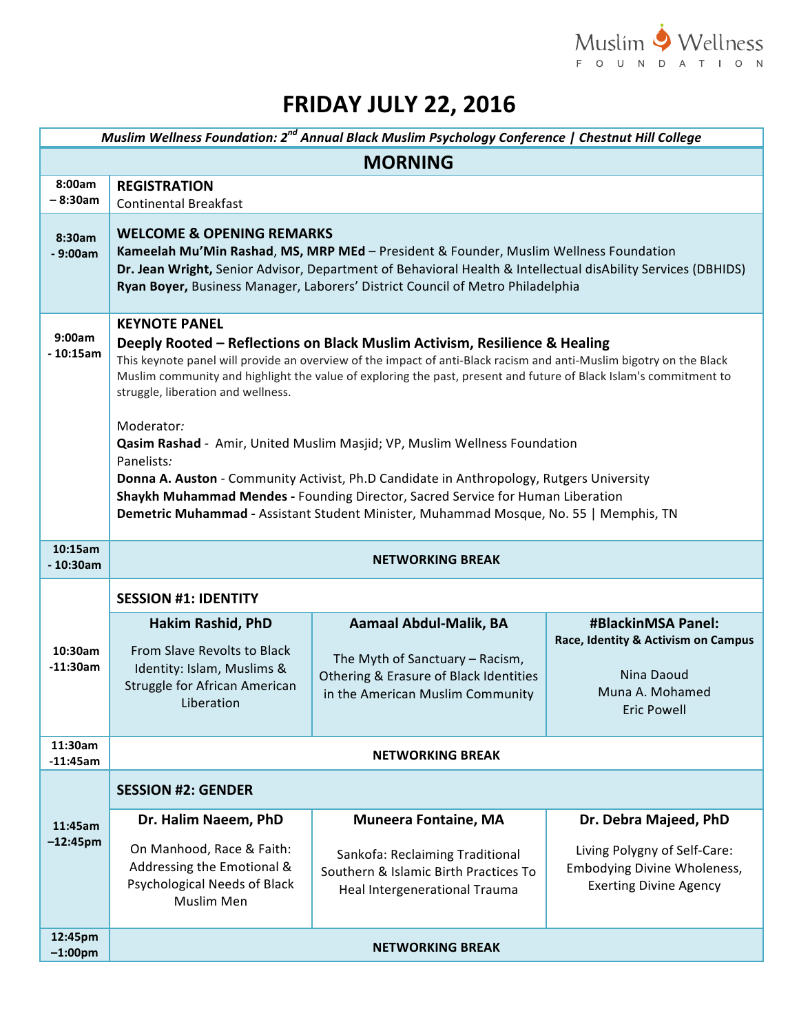

## **FRIDAY JULY 22, 2016**

| Muslim Wellness Foundation: 2 <sup>nd</sup> Annual Black Muslim Psychology Conference   Chestnut Hill College |                                                                                                                                                                                                                                                                                                                                                                                                                                                                                                                                                                                                                                                                                                                                                                       |                                                                                                                                                |                                                                                                                       |  |  |
|---------------------------------------------------------------------------------------------------------------|-----------------------------------------------------------------------------------------------------------------------------------------------------------------------------------------------------------------------------------------------------------------------------------------------------------------------------------------------------------------------------------------------------------------------------------------------------------------------------------------------------------------------------------------------------------------------------------------------------------------------------------------------------------------------------------------------------------------------------------------------------------------------|------------------------------------------------------------------------------------------------------------------------------------------------|-----------------------------------------------------------------------------------------------------------------------|--|--|
| <b>MORNING</b>                                                                                                |                                                                                                                                                                                                                                                                                                                                                                                                                                                                                                                                                                                                                                                                                                                                                                       |                                                                                                                                                |                                                                                                                       |  |  |
| 8:00am<br>$-8:30am$                                                                                           | <b>REGISTRATION</b><br><b>Continental Breakfast</b>                                                                                                                                                                                                                                                                                                                                                                                                                                                                                                                                                                                                                                                                                                                   |                                                                                                                                                |                                                                                                                       |  |  |
| 8:30am<br>$-9:00am$                                                                                           | <b>WELCOME &amp; OPENING REMARKS</b><br>Kameelah Mu'Min Rashad, MS, MRP MEd - President & Founder, Muslim Wellness Foundation<br>Dr. Jean Wright, Senior Advisor, Department of Behavioral Health & Intellectual disAbility Services (DBHIDS)<br>Ryan Boyer, Business Manager, Laborers' District Council of Metro Philadelphia                                                                                                                                                                                                                                                                                                                                                                                                                                       |                                                                                                                                                |                                                                                                                       |  |  |
| 9:00am<br>$-10:15am$                                                                                          | <b>KEYNOTE PANEL</b><br>Deeply Rooted – Reflections on Black Muslim Activism, Resilience & Healing<br>This keynote panel will provide an overview of the impact of anti-Black racism and anti-Muslim bigotry on the Black<br>Muslim community and highlight the value of exploring the past, present and future of Black Islam's commitment to<br>struggle, liberation and wellness.<br>Moderator:<br>Qasim Rashad - Amir, United Muslim Masjid; VP, Muslim Wellness Foundation<br>Panelists:<br>Donna A. Auston - Community Activist, Ph.D Candidate in Anthropology, Rutgers University<br>Shaykh Muhammad Mendes - Founding Director, Sacred Service for Human Liberation<br>Demetric Muhammad - Assistant Student Minister, Muhammad Mosque, No. 55   Memphis, TN |                                                                                                                                                |                                                                                                                       |  |  |
| 10:15am<br>$-10:30am$                                                                                         | <b>NETWORKING BREAK</b>                                                                                                                                                                                                                                                                                                                                                                                                                                                                                                                                                                                                                                                                                                                                               |                                                                                                                                                |                                                                                                                       |  |  |
|                                                                                                               | <b>SESSION #1: IDENTITY</b>                                                                                                                                                                                                                                                                                                                                                                                                                                                                                                                                                                                                                                                                                                                                           |                                                                                                                                                |                                                                                                                       |  |  |
| 10:30am<br>$-11:30am$                                                                                         | Hakim Rashid, PhD<br>From Slave Revolts to Black<br>Identity: Islam, Muslims &<br>Struggle for African American<br>Liberation                                                                                                                                                                                                                                                                                                                                                                                                                                                                                                                                                                                                                                         | <b>Aamaal Abdul-Malik, BA</b><br>The Myth of Sanctuary - Racism,<br>Othering & Erasure of Black Identities<br>in the American Muslim Community | <b>#BlackinMSA Panel:</b><br>Race, Identity & Activism on Campus<br>Nina Daoud<br>Muna A. Mohamed<br>Eric Powell      |  |  |
| 11:30am<br>$-11:45am$                                                                                         | <b>NETWORKING BREAK</b>                                                                                                                                                                                                                                                                                                                                                                                                                                                                                                                                                                                                                                                                                                                                               |                                                                                                                                                |                                                                                                                       |  |  |
| 11:45am<br>$-12:45$ pm                                                                                        | <b>SESSION #2: GENDER</b>                                                                                                                                                                                                                                                                                                                                                                                                                                                                                                                                                                                                                                                                                                                                             |                                                                                                                                                |                                                                                                                       |  |  |
|                                                                                                               | Dr. Halim Naeem, PhD<br>On Manhood, Race & Faith:<br>Addressing the Emotional &<br>Psychological Needs of Black<br>Muslim Men                                                                                                                                                                                                                                                                                                                                                                                                                                                                                                                                                                                                                                         | <b>Muneera Fontaine, MA</b><br>Sankofa: Reclaiming Traditional<br>Southern & Islamic Birth Practices To<br>Heal Intergenerational Trauma       | Dr. Debra Majeed, PhD<br>Living Polygny of Self-Care:<br>Embodying Divine Wholeness,<br><b>Exerting Divine Agency</b> |  |  |
| 12:45pm<br>$-1:00$ pm                                                                                         | <b>NETWORKING BREAK</b>                                                                                                                                                                                                                                                                                                                                                                                                                                                                                                                                                                                                                                                                                                                                               |                                                                                                                                                |                                                                                                                       |  |  |